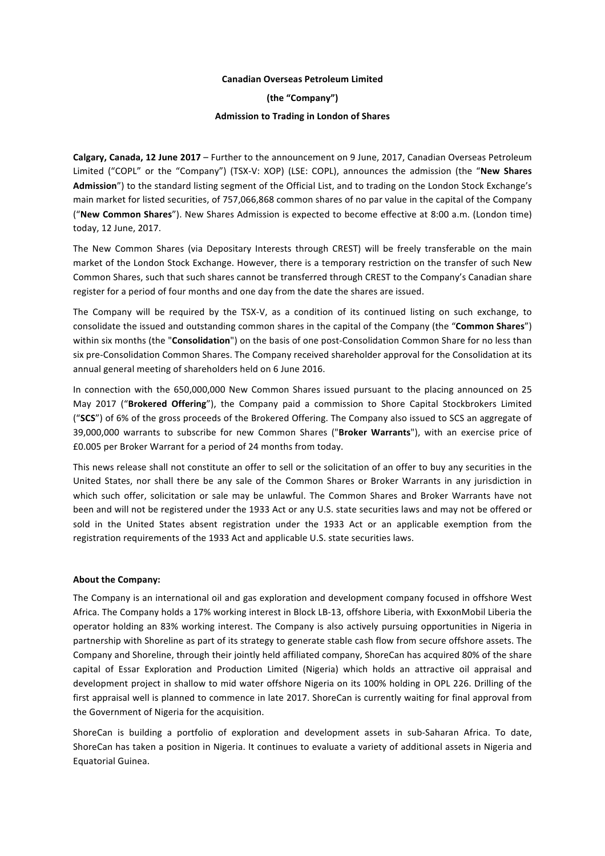## **Canadian Overseas Petroleum Limited**

**(the "Company")**

## **Admission to Trading in London of Shares**

**Calgary, Canada, 12 June 2017** – Further to the announcement on 9 June, 2017, Canadian Overseas Petroleum Limited ("COPL" or the "Company") (TSX-V: XOP) (LSE: COPL), announces the admission (the "New Shares Admission<sup>"</sup>) to the standard listing segment of the Official List, and to trading on the London Stock Exchange's main market for listed securities, of 757,066,868 common shares of no par value in the capital of the Company ("New Common Shares"). New Shares Admission is expected to become effective at 8:00 a.m. (London time) today, 12 June, 2017.

The New Common Shares (via Depositary Interests through CREST) will be freely transferable on the main market of the London Stock Exchange. However, there is a temporary restriction on the transfer of such New Common Shares, such that such shares cannot be transferred through CREST to the Company's Canadian share register for a period of four months and one day from the date the shares are issued.

The Company will be required by the TSX-V, as a condition of its continued listing on such exchange, to consolidate the issued and outstanding common shares in the capital of the Company (the "Common Shares") within six months (the "Consolidation") on the basis of one post-Consolidation Common Share for no less than six pre-Consolidation Common Shares. The Company received shareholder approval for the Consolidation at its annual general meeting of shareholders held on 6 June 2016.

In connection with the 650,000,000 New Common Shares issued pursuant to the placing announced on 25 May 2017 ("Brokered Offering"), the Company paid a commission to Shore Capital Stockbrokers Limited ("**SCS**") of 6% of the gross proceeds of the Brokered Offering. The Company also issued to SCS an aggregate of 39,000,000 warrants to subscribe for new Common Shares ("Broker Warrants"), with an exercise price of £0.005 per Broker Warrant for a period of 24 months from today.

This news release shall not constitute an offer to sell or the solicitation of an offer to buy any securities in the United States, nor shall there be any sale of the Common Shares or Broker Warrants in any jurisdiction in which such offer, solicitation or sale may be unlawful. The Common Shares and Broker Warrants have not been and will not be registered under the 1933 Act or any U.S. state securities laws and may not be offered or sold in the United States absent registration under the 1933 Act or an applicable exemption from the registration requirements of the 1933 Act and applicable U.S. state securities laws.

### **About the Company:**

The Company is an international oil and gas exploration and development company focused in offshore West Africa. The Company holds a 17% working interest in Block LB-13, offshore Liberia, with ExxonMobil Liberia the operator holding an 83% working interest. The Company is also actively pursuing opportunities in Nigeria in partnership with Shoreline as part of its strategy to generate stable cash flow from secure offshore assets. The Company and Shoreline, through their jointly held affiliated company, ShoreCan has acquired 80% of the share capital of Essar Exploration and Production Limited (Nigeria) which holds an attractive oil appraisal and development project in shallow to mid water offshore Nigeria on its 100% holding in OPL 226. Drilling of the first appraisal well is planned to commence in late 2017. ShoreCan is currently waiting for final approval from the Government of Nigeria for the acquisition.

ShoreCan is building a portfolio of exploration and development assets in sub-Saharan Africa. To date, ShoreCan has taken a position in Nigeria. It continues to evaluate a variety of additional assets in Nigeria and Equatorial Guinea.